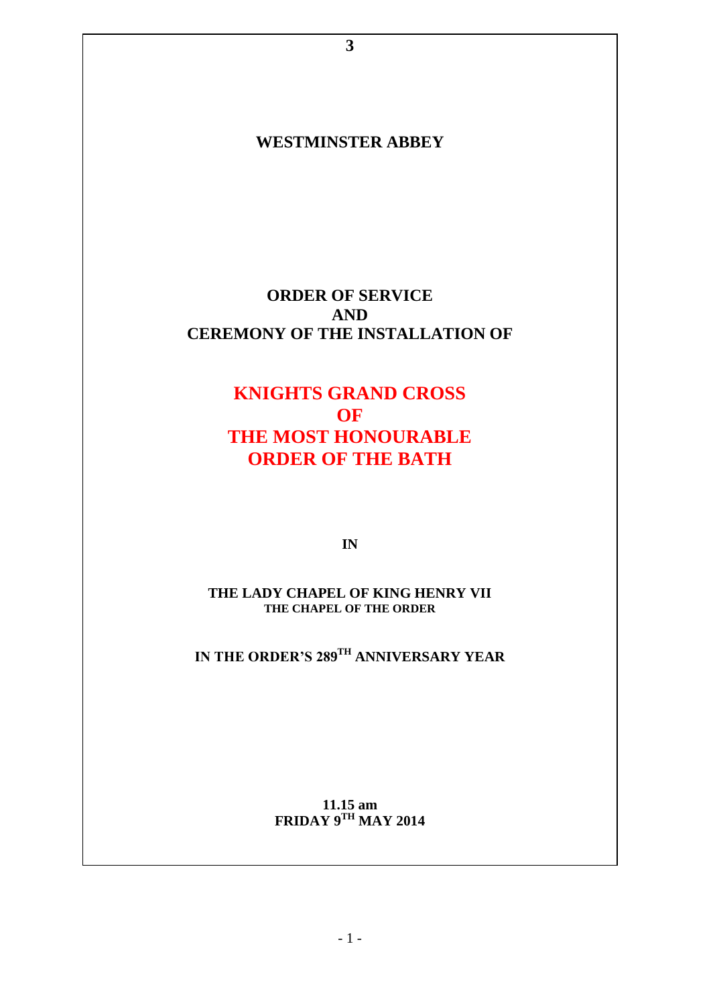# **WESTMINSTER ABBEY**

**3**

# **ORDER OF SERVICE AND CEREMONY OF THE INSTALLATION OF**

# **KNIGHTS GRAND CROSS OF THE MOST HONOURABLE ORDER OF THE BATH**

**IN**

**THE LADY CHAPEL OF KING HENRY VII THE CHAPEL OF THE ORDER**

**IN THE ORDER'S 289 TH ANNIVERSARY YEAR**

**11.15 am FRIDAY 9TH MAY 2014**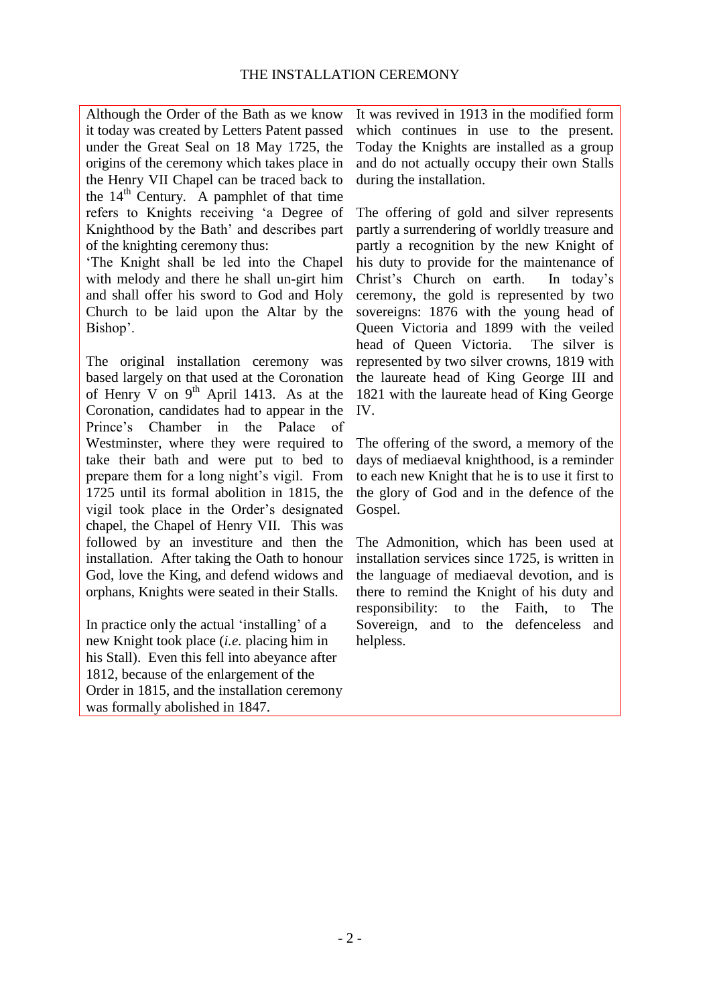Although the Order of the Bath as we know it today was created by Letters Patent passed under the Great Seal on 18 May 1725, the origins of the ceremony which takes place in the Henry VII Chapel can be traced back to the  $14<sup>th</sup>$  Century. A pamphlet of that time refers to Knights receiving 'a Degree of Knighthood by the Bath' and describes part of the knighting ceremony thus:

'The Knight shall be led into the Chapel with melody and there he shall un-girt him and shall offer his sword to God and Holy Church to be laid upon the Altar by the Bishop'.

The original installation ceremony was based largely on that used at the Coronation of Henry V on  $9<sup>th</sup>$  April 1413. As at the Coronation, candidates had to appear in the Prince's Chamber in the Palace of Westminster, where they were required to take their bath and were put to bed to prepare them for a long night's vigil. From 1725 until its formal abolition in 1815, the vigil took place in the Order's designated chapel, the Chapel of Henry VII. This was followed by an investiture and then the installation. After taking the Oath to honour God, love the King, and defend widows and orphans, Knights were seated in their Stalls.

In practice only the actual 'installing' of a new Knight took place (*i.e.* placing him in his Stall). Even this fell into abeyance after 1812, because of the enlargement of the Order in 1815, and the installation ceremony was formally abolished in 1847.

It was revived in 1913 in the modified form which continues in use to the present. Today the Knights are installed as a group and do not actually occupy their own Stalls during the installation.

The offering of gold and silver represents partly a surrendering of worldly treasure and partly a recognition by the new Knight of his duty to provide for the maintenance of Christ's Church on earth. In today's ceremony, the gold is represented by two sovereigns: 1876 with the young head of Queen Victoria and 1899 with the veiled head of Queen Victoria. The silver is represented by two silver crowns, 1819 with the laureate head of King George III and 1821 with the laureate head of King George IV.

The offering of the sword, a memory of the days of mediaeval knighthood, is a reminder to each new Knight that he is to use it first to the glory of God and in the defence of the Gospel.

The Admonition, which has been used at installation services since 1725, is written in the language of mediaeval devotion, and is there to remind the Knight of his duty and responsibility: to the Faith, to The Sovereign, and to the defenceless and helpless.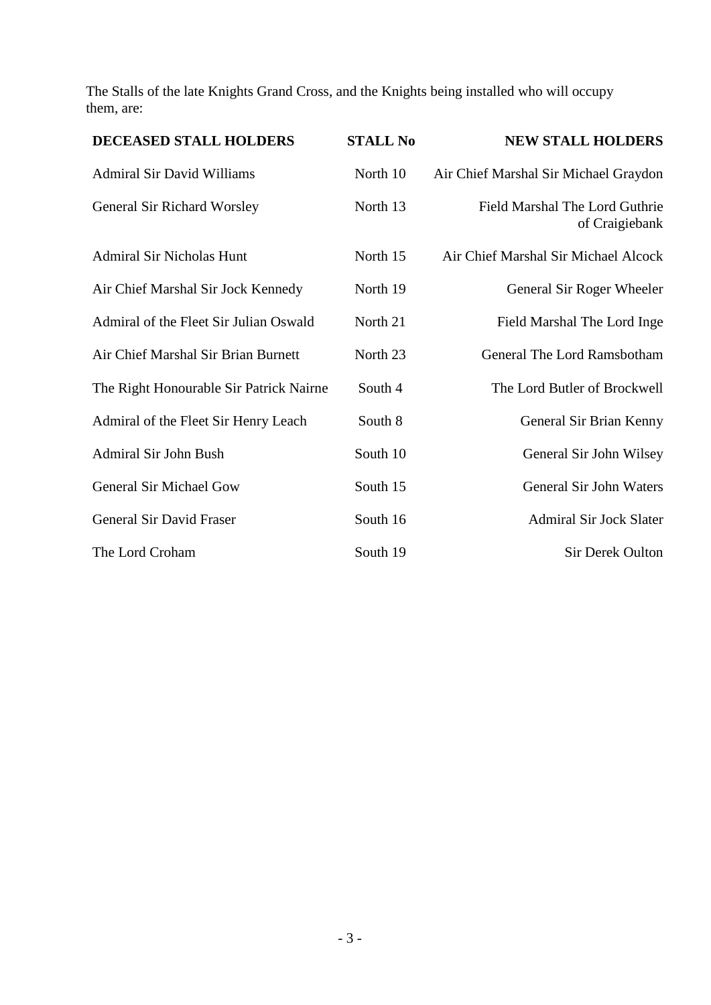The Stalls of the late Knights Grand Cross, and the Knights being installed who will occupy them, are:

| DECEASED STALL HOLDERS                  | <b>STALL No</b> | <b>NEW STALL HOLDERS</b>                         |
|-----------------------------------------|-----------------|--------------------------------------------------|
| <b>Admiral Sir David Williams</b>       | North 10        | Air Chief Marshal Sir Michael Graydon            |
| General Sir Richard Worsley             | North 13        | Field Marshal The Lord Guthrie<br>of Craigiebank |
| <b>Admiral Sir Nicholas Hunt</b>        | North 15        | Air Chief Marshal Sir Michael Alcock             |
| Air Chief Marshal Sir Jock Kennedy      | North 19        | General Sir Roger Wheeler                        |
| Admiral of the Fleet Sir Julian Oswald  | North 21        | Field Marshal The Lord Inge                      |
| Air Chief Marshal Sir Brian Burnett     | North 23        | General The Lord Ramsbotham                      |
| The Right Honourable Sir Patrick Nairne | South 4         | The Lord Butler of Brockwell                     |
| Admiral of the Fleet Sir Henry Leach    | South 8         | General Sir Brian Kenny                          |
| Admiral Sir John Bush                   | South 10        | General Sir John Wilsey                          |
| General Sir Michael Gow                 | South 15        | General Sir John Waters                          |
| General Sir David Fraser                | South 16        | <b>Admiral Sir Jock Slater</b>                   |
| The Lord Croham                         | South 19        | Sir Derek Oulton                                 |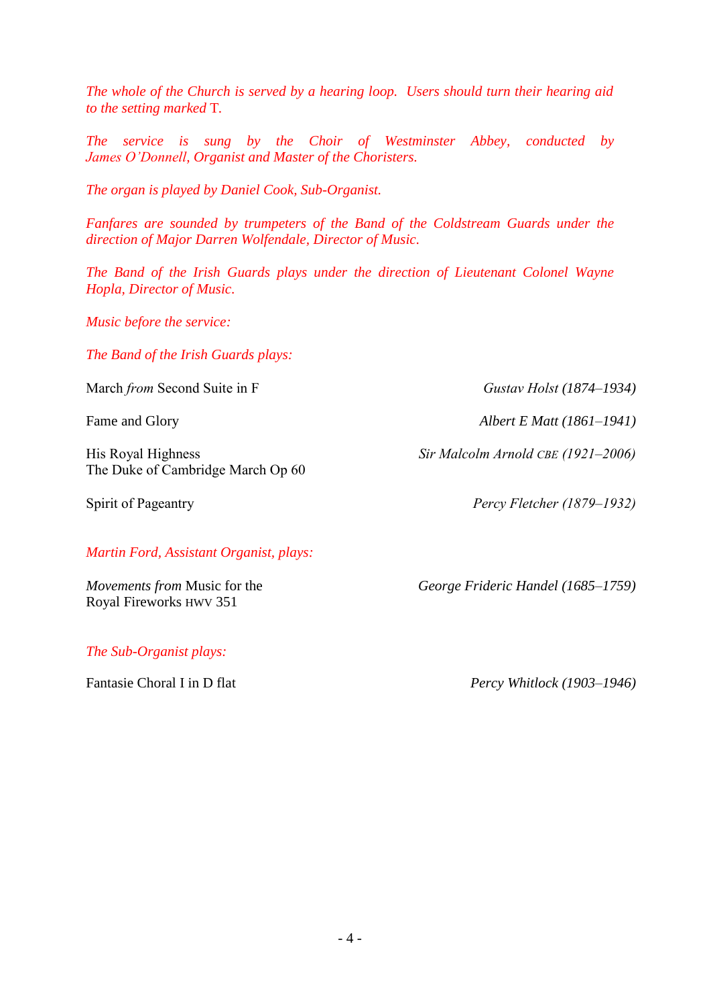*The whole of the Church is served by a hearing loop. Users should turn their hearing aid to the setting marked* T*.*

*The service is sung by the Choir of Westminster Abbey, conducted by James O'Donnell, Organist and Master of the Choristers.*

*The organ is played by Daniel Cook, Sub-Organist.*

*Fanfares are sounded by trumpeters of the Band of the Coldstream Guards under the direction of Major Darren Wolfendale, Director of Music.*

*The Band of the Irish Guards plays under the direction of Lieutenant Colonel Wayne Hopla, Director of Music.*

*Music before the service:*

*The Band of the Irish Guards plays:*

March *from* Second Suite in F *Gustav Holst (1874–1934)*

His Royal Highness *Sir Malcolm Arnold CBE (1921–2006)* The Duke of Cambridge March Op 60

#### *Martin Ford, Assistant Organist, plays:*

Royal Fireworks HWV 351

*The Sub-Organist plays:*

Fame and Glory *Albert E Matt (1861–1941)* 

Spirit of Pageantry *Percy Fletcher (1879–1932)*

*Movements from* Music for the *George Frideric Handel (1685–1759)*

Fantasie Choral I in D flat *Percy Whitlock (1903–1946)*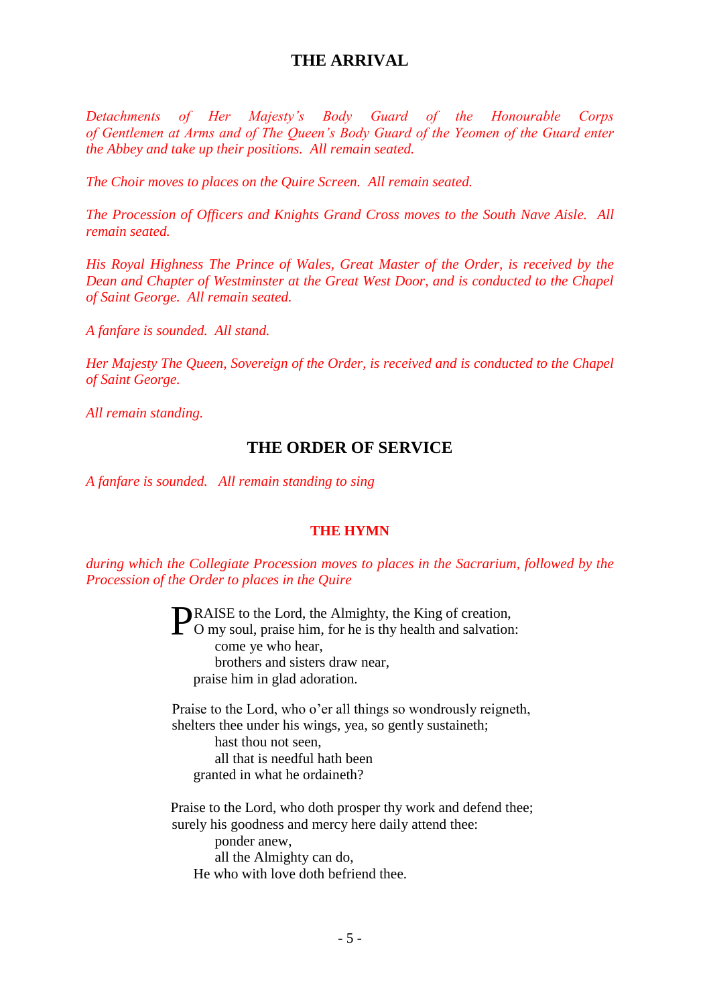# **THE ARRIVAL**

*Detachments of Her Majesty's Body Guard of the Honourable Corps of Gentlemen at Arms and of The Queen's Body Guard of the Yeomen of the Guard enter the Abbey and take up their positions. All remain seated.*

*The Choir moves to places on the Quire Screen. All remain seated.*

*The Procession of Officers and Knights Grand Cross moves to the South Nave Aisle. All remain seated.*

*His Royal Highness The Prince of Wales, Great Master of the Order, is received by the Dean and Chapter of Westminster at the Great West Door, and is conducted to the Chapel of Saint George. All remain seated.*

*A fanfare is sounded. All stand.*

*Her Majesty The Queen, Sovereign of the Order, is received and is conducted to the Chapel of Saint George.*

*All remain standing.*

### **THE ORDER OF SERVICE**

*A fanfare is sounded. All remain standing to sing*

### **THE HYMN**

*during which the Collegiate Procession moves to places in the Sacrarium, followed by the Procession of the Order to places in the Quire*

> RAISE to the Lord, the Almighty, the King of creation, **PRAISE** to the Lord, the Almighty, the King of creation, O my soul, praise him, for he is thy health and salvation: come ye who hear, brothers and sisters draw near, praise him in glad adoration.

Praise to the Lord, who o'er all things so wondrously reigneth, shelters thee under his wings, yea, so gently sustaineth; hast thou not seen, all that is needful hath been granted in what he ordaineth?

Praise to the Lord, who doth prosper thy work and defend thee; surely his goodness and mercy here daily attend thee:

ponder anew, all the Almighty can do, He who with love doth befriend thee.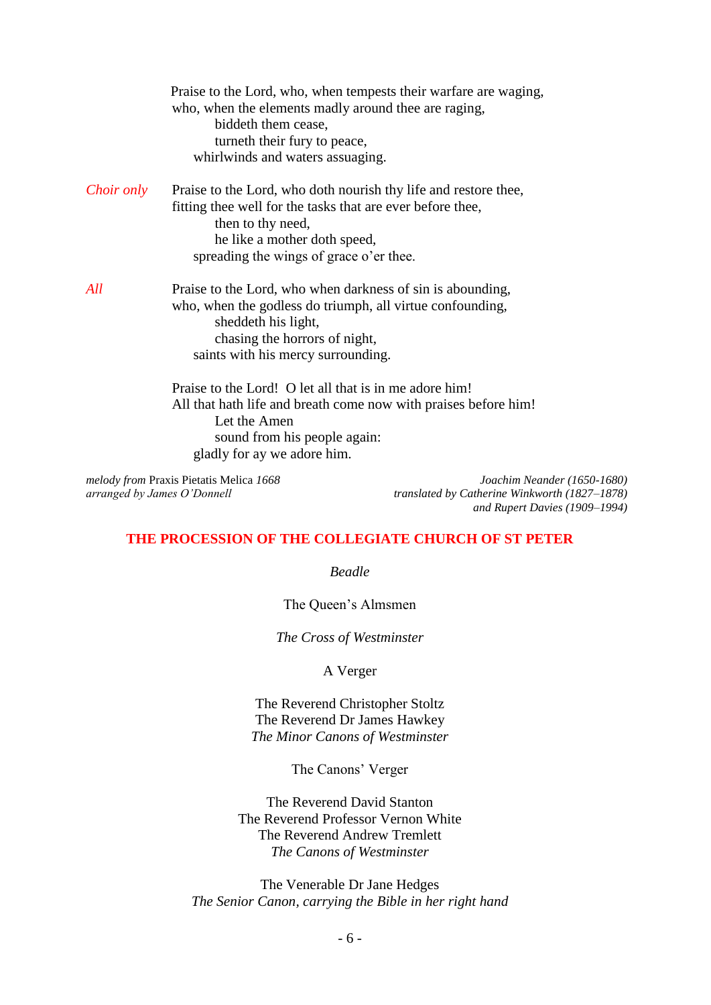|                   | Praise to the Lord, who, when tempests their warfare are waging,<br>who, when the elements madly around thee are raging,<br>biddeth them cease,<br>turneth their fury to peace,<br>whirlwinds and waters assuaging.           |
|-------------------|-------------------------------------------------------------------------------------------------------------------------------------------------------------------------------------------------------------------------------|
| <i>Choir only</i> | Praise to the Lord, who doth nourish thy life and restore thee,<br>fitting thee well for the tasks that are ever before thee,<br>then to thy need,<br>he like a mother doth speed,<br>spreading the wings of grace o'er thee. |
| All               | Praise to the Lord, who when darkness of sin is abounding,<br>who, when the godless do triumph, all virtue confounding,<br>sheddeth his light,<br>chasing the horrors of night,<br>saints with his mercy surrounding.         |
|                   | Praise to the Lord! O let all that is in me adore him!<br>All that hath life and breath come now with praises before him!<br>Let the Amen<br>sound from his people again:<br>gladly for ay we adore him.                      |

*melody from* Praxis Pietatis Melica *1668 arranged by James O'Donnell*

*Joachim Neander (1650-1680) translated by Catherine Winkworth (1827–1878) and Rupert Davies (1909–1994)*

#### **THE PROCESSION OF THE COLLEGIATE CHURCH OF ST PETER**

*Beadle*

The Queen's Almsmen

*The Cross of Westminster*

A Verger

The Reverend Christopher Stoltz The Reverend Dr James Hawkey *The Minor Canons of Westminster*

The Canons' Verger

The Reverend David Stanton The Reverend Professor Vernon White The Reverend Andrew Tremlett *The Canons of Westminster*

The Venerable Dr Jane Hedges *The Senior Canon, carrying the Bible in her right hand*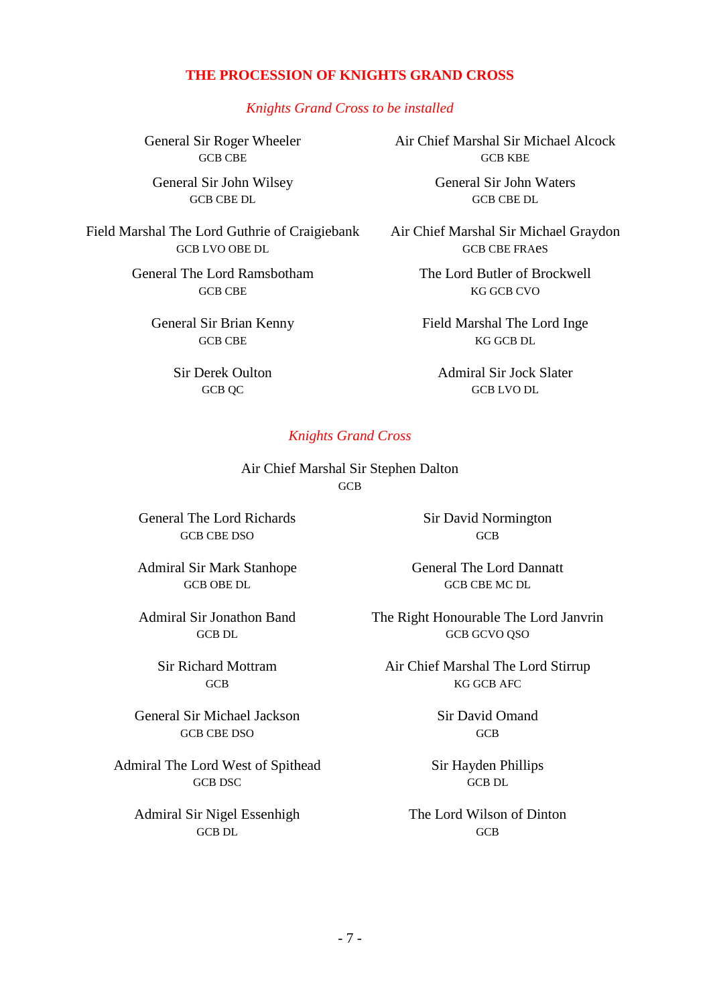### **THE PROCESSION OF KNIGHTS GRAND CROSS**

*Knights Grand Cross to be installed*

General Sir Roger Wheeler GCB CBE

General Sir John Wilsey GCB CBE DL

Field Marshal The Lord Guthrie of Craigiebank GCB LVO OBE DL

> General The Lord Ramsbotham GCB CBE

General Sir Brian Kenny GCB CBE

> Sir Derek Oulton GCB QC

Air Chief Marshal Sir Michael Alcock **GCB KBE** 

> General Sir John Waters GCB CBE DL

Air Chief Marshal Sir Michael Graydon GCB CBE FRAeS

> The Lord Butler of Brockwell KG GCB CVO

Field Marshal The Lord Inge KG GCB DL

Admiral Sir Jock Slater GCB LVO DL

#### *Knights Grand Cross*

Air Chief Marshal Sir Stephen Dalton **GCB** 

General The Lord Richards GCB CBE DSO

Admiral Sir Mark Stanhope GCB OBE DL

Admiral Sir Jonathon Band GCB DL

> Sir Richard Mottram GCB

General Sir Michael Jackson GCB CBE DSO

Admiral The Lord West of Spithead GCB DSC

Admiral Sir Nigel Essenhigh GCB DL

Sir David Normington **GCB** 

General The Lord Dannatt GCB CBE MC DL

The Right Honourable The Lord Janvrin GCB GCVO QSO

Air Chief Marshal The Lord Stirrup KG GCB AFC

> Sir David Omand GCB

Sir Hayden Phillips GCB DL

The Lord Wilson of Dinton GCB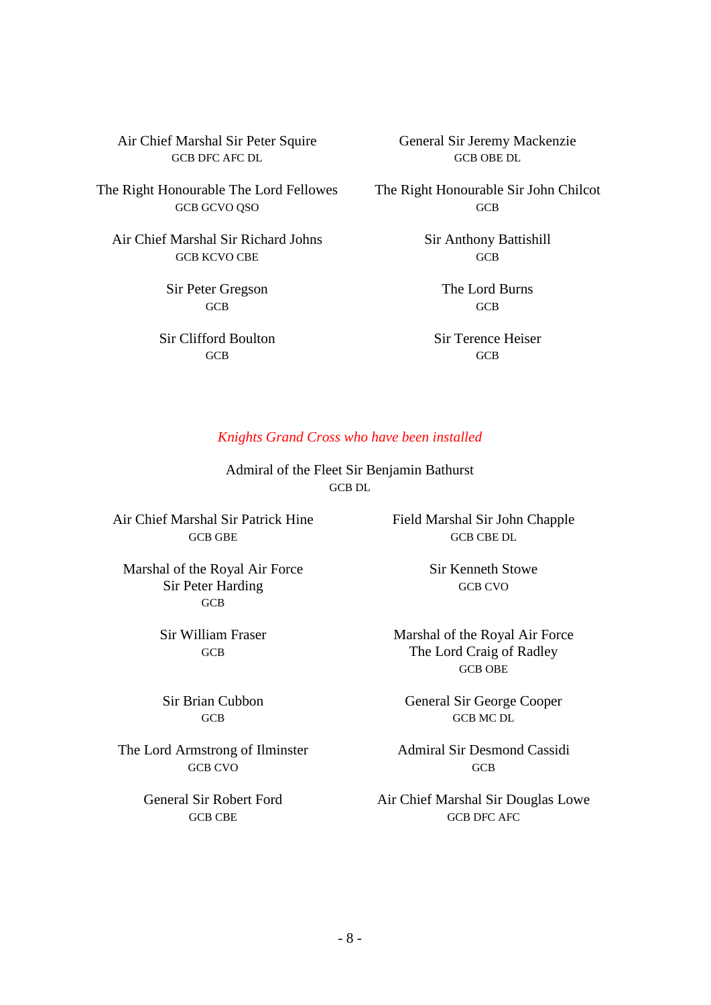Air Chief Marshal Sir Peter Squire GCB DFC AFC DL

The Right Honourable The Lord Fellowes GCB GCVO QSO

Air Chief Marshal Sir Richard Johns GCB KCVO CBE

> Sir Peter Gregson **GCB**

Sir Clifford Boulton **GCB** 

General Sir Jeremy Mackenzie GCB OBE DL

The Right Honourable Sir John Chilcot GCB

> Sir Anthony Battishill **GCB**

> > The Lord Burns **GCB**

Sir Terence Heiser GCB

#### *Knights Grand Cross who have been installed*

Admiral of the Fleet Sir Benjamin Bathurst GCB DL

Air Chief Marshal Sir Patrick Hine GCB GBE

Marshal of the Royal Air Force Sir Peter Harding **GCB** 

> Sir William Fraser GCB

Sir Brian Cubbon **GCB** 

The Lord Armstrong of Ilminster GCB CVO

> General Sir Robert Ford GCB CBE

Field Marshal Sir John Chapple GCB CBE DL

> Sir Kenneth Stowe GCB CVO

Marshal of the Royal Air Force The Lord Craig of Radley GCB OBE

General Sir George Cooper GCB MC DL

Admiral Sir Desmond Cassidi **GCB** 

Air Chief Marshal Sir Douglas Lowe GCB DFC AFC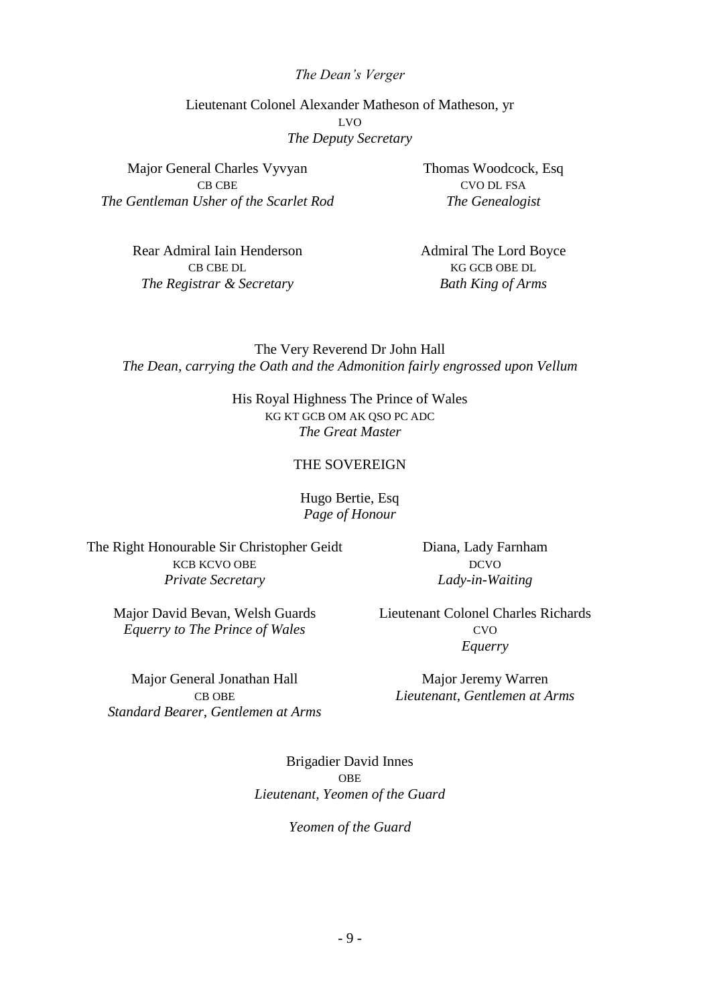#### *The Dean's Verger*

Lieutenant Colonel Alexander Matheson of Matheson, yr LVO *The Deputy Secretary*

Major General Charles Vyvyan CB CBE *The Gentleman Usher of the Scarlet Rod*

> Rear Admiral Iain Henderson CB CBE DL *The Registrar & Secretary*

Thomas Woodcock, Esq CVO DL FSA *The Genealogist*

Admiral The Lord Boyce KG GCB OBE DL *Bath King of Arms*

The Very Reverend Dr John Hall *The Dean, carrying the Oath and the Admonition fairly engrossed upon Vellum*

> His Royal Highness The Prince of Wales KG KT GCB OM AK QSO PC ADC *The Great Master*

#### THE SOVEREIGN

#### Hugo Bertie, Esq *Page of Honour*

The Right Honourable Sir Christopher Geidt KCB KCVO OBE *Private Secretary*

Diana, Lady Farnham DCVO *Lady-in-Waiting*

Major David Bevan, Welsh Guards *Equerry to The Prince of Wales*

Major General Jonathan Hall

Lieutenant Colonel Charles Richards CVO *Equerry*

Major Jeremy Warren *Lieutenant, Gentlemen at Arms*

CB OBE *Standard Bearer, Gentlemen at Arms*

> Brigadier David Innes OBE *Lieutenant, Yeomen of the Guard*

> > *Yeomen of the Guard*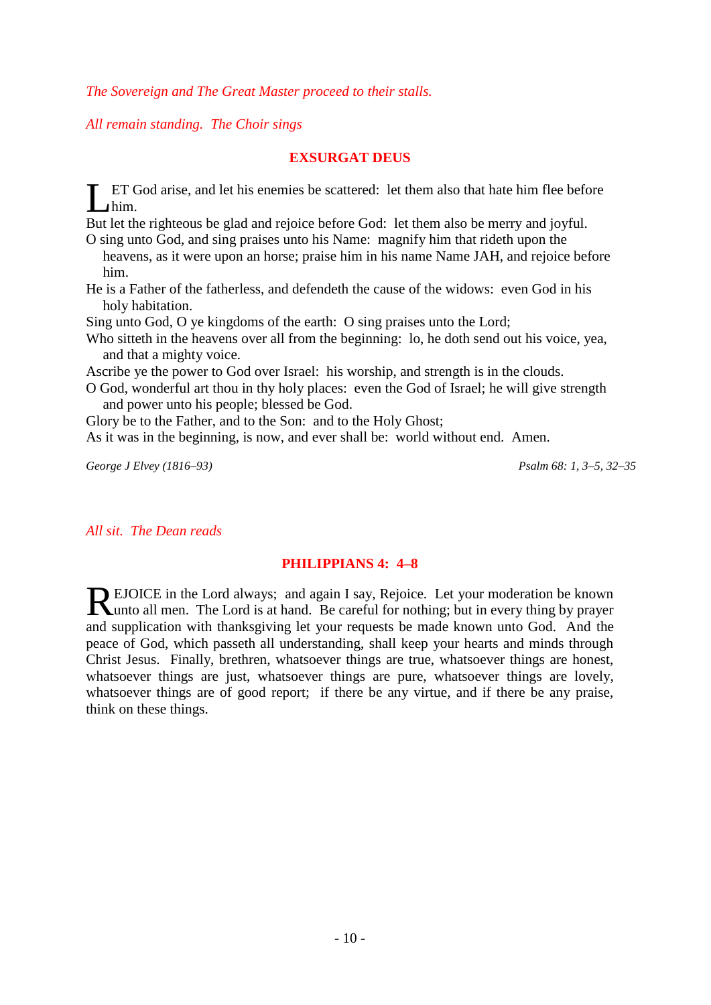*The Sovereign and The Great Master proceed to their stalls.*

*All remain standing. The Choir sings*

### **EXSURGAT DEUS**

ET God arise, and let his enemies be scattered: let them also that hate him flee before him.  $\prod_{\mathbf{p}\in\mathcal{P}}$ 

But let the righteous be glad and rejoice before God: let them also be merry and joyful.

O sing unto God, and sing praises unto his Name: magnify him that rideth upon the heavens, as it were upon an horse; praise him in his name Name JAH, and rejoice before him.

He is a Father of the fatherless, and defendeth the cause of the widows: even God in his holy habitation.

Sing unto God, O ye kingdoms of the earth: O sing praises unto the Lord;

Who sitteth in the heavens over all from the beginning: lo, he doth send out his voice, yea, and that a mighty voice.

Ascribe ye the power to God over Israel: his worship, and strength is in the clouds.

O God, wonderful art thou in thy holy places: even the God of Israel; he will give strength and power unto his people; blessed be God.

Glory be to the Father, and to the Son: and to the Holy Ghost;

As it was in the beginning, is now, and ever shall be: world without end. Amen.

*George J Elvey (1816–93) Psalm 68: 1, 3–5, 32–35*

*All sit. The Dean reads*

#### **PHILIPPIANS 4: 4–8**

EJOICE in the Lord always; and again I say, Rejoice. Let your moderation be known REJOICE in the Lord always; and again I say, Rejoice. Let your moderation be known unto all men. The Lord is at hand. Be careful for nothing; but in every thing by prayer and supplication with thanksgiving let your requests be made known unto God. And the peace of God, which passeth all understanding, shall keep your hearts and minds through Christ Jesus. Finally, brethren, whatsoever things are true, whatsoever things are honest, whatsoever things are just, whatsoever things are pure, whatsoever things are lovely, whatsoever things are of good report; if there be any virtue, and if there be any praise, think on these things.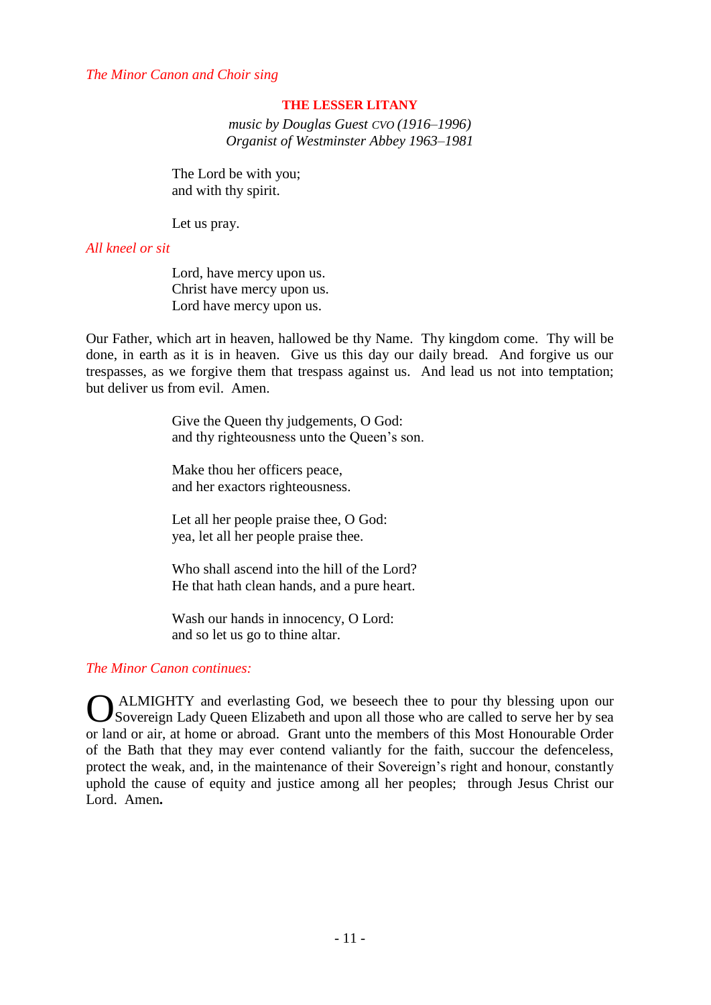#### *The Minor Canon and Choir sing*

#### **THE LESSER LITANY**

*music by Douglas Guest CVO (1916–1996) Organist of Westminster Abbey 1963–1981*

The Lord be with you; and with thy spirit.

Let us pray.

#### *All kneel or sit*

Lord, have mercy upon us. Christ have mercy upon us. Lord have mercy upon us.

Our Father, which art in heaven, hallowed be thy Name. Thy kingdom come. Thy will be done, in earth as it is in heaven. Give us this day our daily bread. And forgive us our trespasses, as we forgive them that trespass against us. And lead us not into temptation; but deliver us from evil. Amen.

> Give the Queen thy judgements, O God: and thy righteousness unto the Queen's son.

Make thou her officers peace, and her exactors righteousness.

Let all her people praise thee, O God: yea, let all her people praise thee.

Who shall ascend into the hill of the Lord? He that hath clean hands, and a pure heart.

Wash our hands in innocency, O Lord: and so let us go to thine altar.

#### *The Minor Canon continues:*

ALMIGHTY and everlasting God, we beseech thee to pour thy blessing upon our **O** ALMIGHTY and everlasting God, we beseech thee to pour thy blessing upon our Sovereign Lady Queen Elizabeth and upon all those who are called to serve her by sea or land or air, at home or abroad. Grant unto the members of this Most Honourable Order of the Bath that they may ever contend valiantly for the faith, succour the defenceless, protect the weak, and, in the maintenance of their Sovereign's right and honour, constantly uphold the cause of equity and justice among all her peoples; through Jesus Christ our Lord. Amen**.**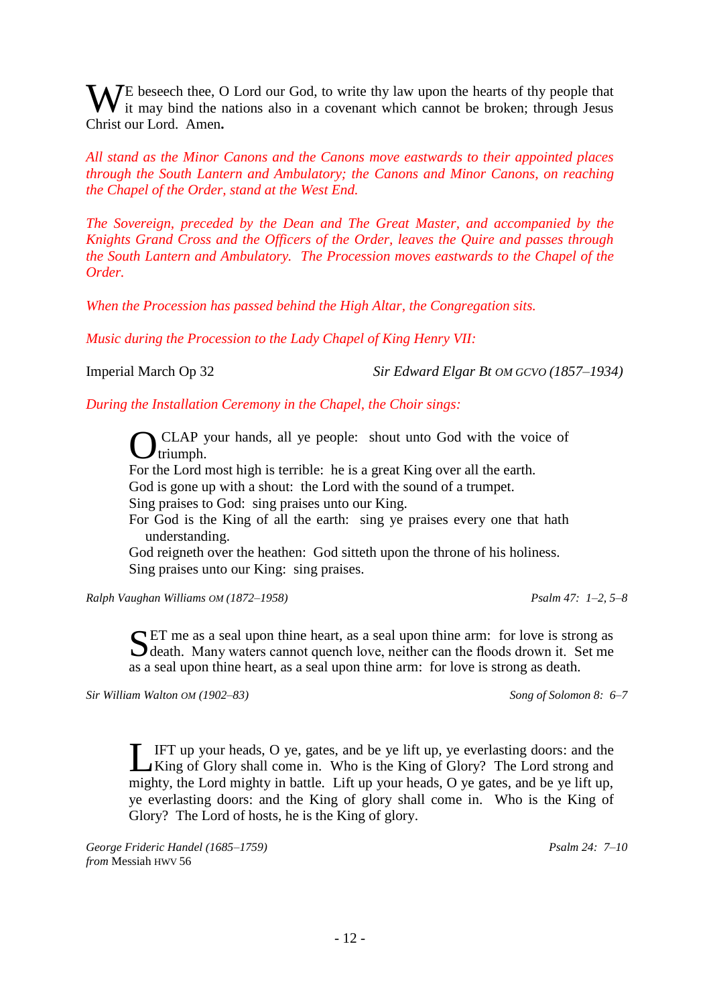WE beseech thee, O Lord our God, to write thy law upon the hearts of thy people that it may bind the nations also in a covenant which cannot be broken; through Jesus it may bind the nations also in a covenant which cannot be broken; through Jesus Christ our Lord. Amen**.**

*All stand as the Minor Canons and the Canons move eastwards to their appointed places through the South Lantern and Ambulatory; the Canons and Minor Canons, on reaching the Chapel of the Order, stand at the West End.*

*The Sovereign, preceded by the Dean and The Great Master, and accompanied by the Knights Grand Cross and the Officers of the Order, leaves the Quire and passes through the South Lantern and Ambulatory. The Procession moves eastwards to the Chapel of the Order.*

*When the Procession has passed behind the High Altar, the Congregation sits.*

*Music during the Procession to the Lady Chapel of King Henry VII:*

Imperial March Op 32 *Sir Edward Elgar Bt OM GCVO (1857–1934)*

*During the Installation Ceremony in the Chapel, the Choir sings:*

CLAP your hands, all ye people: shout unto God with the voice of triumph.  $\mathbf{I}$ triumph.

For the Lord most high is terrible: he is a great King over all the earth.

God is gone up with a shout: the Lord with the sound of a trumpet.

Sing praises to God: sing praises unto our King.

For God is the King of all the earth: sing ye praises every one that hath understanding.

God reigneth over the heathen: God sitteth upon the throne of his holiness. Sing praises unto our King: sing praises.

*Ralph Vaughan Williams OM (1872–1958) Psalm 47: 1–2, 5–8*

SET me as a seal upon thine heart, as a seal upon thine arm: for love is strong as death. Many waters cannot quench love, neither can the floods drown it. Set me  $\Box$  death. Many waters cannot quench love, neither can the floods drown it. Set me as a seal upon thine heart, as a seal upon thine arm: for love is strong as death.

*Sir William Walton OM (1902–83) Song of Solomon 8: 6–7*

IFT up your heads, O ye, gates, and be ye lift up, ye everlasting doors: and the **IFT** up your heads, O ye, gates, and be ye lift up, ye everlasting doors: and the King of Glory? The Lord strong and mighty, the Lord mighty in battle. Lift up your heads, O ye gates, and be ye lift up, ye everlasting doors: and the King of glory shall come in. Who is the King of Glory? The Lord of hosts, he is the King of glory.

*George Frideric Handel (1685–1759) from* Messiah HWV 56

*Psalm 24: 7–10*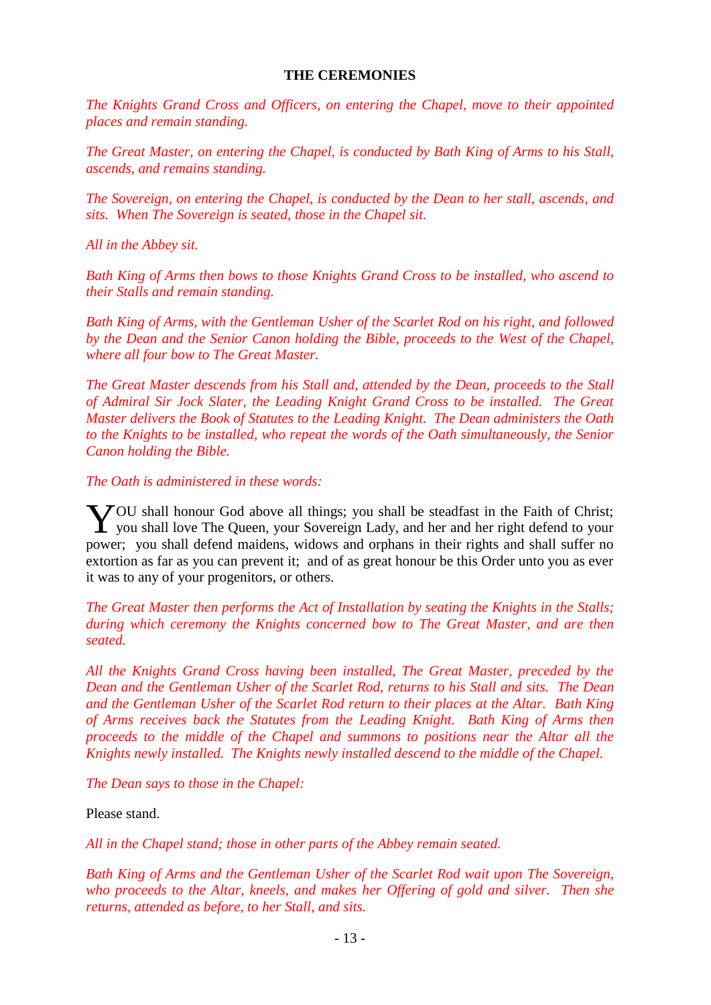#### **THE CEREMONIES**

*The Knights Grand Cross and Officers, on entering the Chapel, move to their appointed places and remain standing.*

*The Great Master, on entering the Chapel, is conducted by Bath King of Arms to his Stall, ascends, and remains standing.* 

*The Sovereign, on entering the Chapel, is conducted by the Dean to her stall, ascends, and sits. When The Sovereign is seated, those in the Chapel sit.*

*All in the Abbey sit.*

*Bath King of Arms then bows to those Knights Grand Cross to be installed, who ascend to their Stalls and remain standing.*

*Bath King of Arms, with the Gentleman Usher of the Scarlet Rod on his right, and followed by the Dean and the Senior Canon holding the Bible, proceeds to the West of the Chapel, where all four bow to The Great Master.*

*The Great Master descends from his Stall and, attended by the Dean, proceeds to the Stall of Admiral Sir Jock Slater, the Leading Knight Grand Cross to be installed. The Great Master delivers the Book of Statutes to the Leading Knight. The Dean administers the Oath to the Knights to be installed, who repeat the words of the Oath simultaneously, the Senior Canon holding the Bible.* 

*The Oath is administered in these words:*

VOU shall honour God above all things; you shall be steadfast in the Faith of Christ; YOU shall honour God above all things; you shall be steadfast in the Faith of Christ;<br>you shall love The Queen, your Sovereign Lady, and her and her right defend to your power; you shall defend maidens, widows and orphans in their rights and shall suffer no extortion as far as you can prevent it; and of as great honour be this Order unto you as ever it was to any of your progenitors, or others.

*The Great Master then performs the Act of Installation by seating the Knights in the Stalls; during which ceremony the Knights concerned bow to The Great Master, and are then seated.*

*All the Knights Grand Cross having been installed, The Great Master, preceded by the Dean and the Gentleman Usher of the Scarlet Rod, returns to his Stall and sits. The Dean and the Gentleman Usher of the Scarlet Rod return to their places at the Altar. Bath King of Arms receives back the Statutes from the Leading Knight. Bath King of Arms then proceeds to the middle of the Chapel and summons to positions near the Altar all the Knights newly installed. The Knights newly installed descend to the middle of the Chapel.*

*The Dean says to those in the Chapel:*

Please stand.

*All in the Chapel stand; those in other parts of the Abbey remain seated.*

*Bath King of Arms and the Gentleman Usher of the Scarlet Rod wait upon The Sovereign, who proceeds to the Altar, kneels, and makes her Offering of gold and silver. Then she returns, attended as before, to her Stall, and sits.*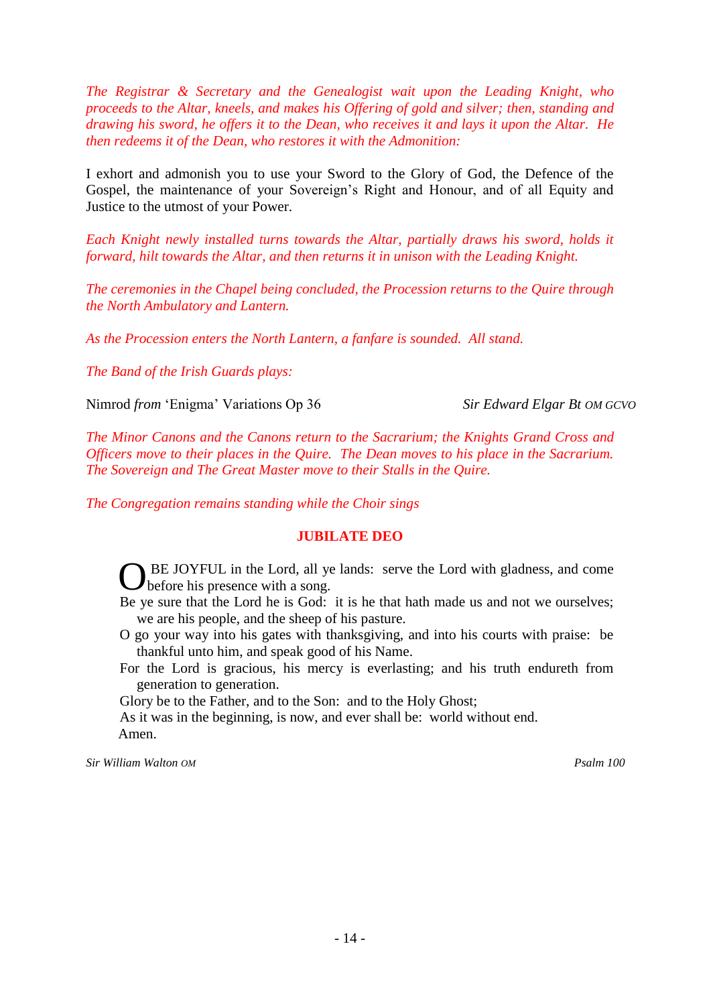*The Registrar & Secretary and the Genealogist wait upon the Leading Knight, who proceeds to the Altar, kneels, and makes his Offering of gold and silver; then, standing and drawing his sword, he offers it to the Dean, who receives it and lays it upon the Altar. He then redeems it of the Dean, who restores it with the Admonition:*

I exhort and admonish you to use your Sword to the Glory of God, the Defence of the Gospel, the maintenance of your Sovereign's Right and Honour, and of all Equity and Justice to the utmost of your Power.

*Each Knight newly installed turns towards the Altar, partially draws his sword, holds it forward, hilt towards the Altar, and then returns it in unison with the Leading Knight.*

*The ceremonies in the Chapel being concluded, the Procession returns to the Quire through the North Ambulatory and Lantern.*

*As the Procession enters the North Lantern, a fanfare is sounded. All stand.*

*The Band of the Irish Guards plays:*

Nimrod *from* 'Enigma' Variations Op 36 *Sir Edward Elgar Bt OM GCVO*

*The Minor Canons and the Canons return to the Sacrarium; the Knights Grand Cross and Officers move to their places in the Quire. The Dean moves to his place in the Sacrarium. The Sovereign and The Great Master move to their Stalls in the Quire.*

*The Congregation remains standing while the Choir sings*

#### **JUBILATE DEO**

OBE JOYFUL in the Lord, all ye lands: serve the Lord with gladness, and come before his presence with a song. before his presence with a song.

- Be ye sure that the Lord he is God: it is he that hath made us and not we ourselves; we are his people, and the sheep of his pasture.
- O go your way into his gates with thanksgiving, and into his courts with praise: be thankful unto him, and speak good of his Name.
- For the Lord is gracious, his mercy is everlasting; and his truth endureth from generation to generation.

Glory be to the Father, and to the Son: and to the Holy Ghost;

As it was in the beginning, is now, and ever shall be: world without end. Amen.

*Sir William Walton OM Psalm 100*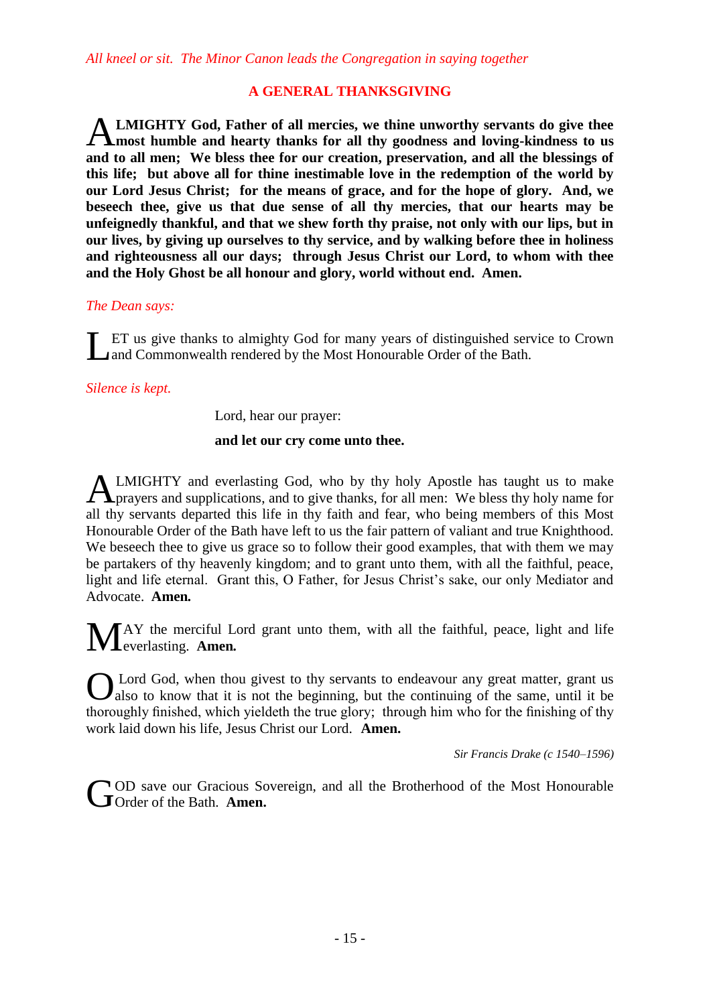### **A GENERAL THANKSGIVING**

**LMIGHTY God, Father of all mercies, we thine unworthy servants do give thee most humble and hearty thanks for all thy goodness and loving-kindness to us and to all men; We bless thee for our creation, preservation, and all the blessings of this life; but above all for thine inestimable love in the redemption of the world by our Lord Jesus Christ; for the means of grace, and for the hope of glory. And, we beseech thee, give us that due sense of all thy mercies, that our hearts may be unfeignedly thankful, and that we shew forth thy praise, not only with our lips, but in our lives, by giving up ourselves to thy service, and by walking before thee in holiness and righteousness all our days; through Jesus Christ our Lord, to whom with thee and the Holy Ghost be all honour and glory, world without end. Amen.** A

#### *The Dean says:*

ET us give thanks to almighty God for many years of distinguished service to Crown **Let us give thanks to almighty God for many years of distinguished ser** Land Commonwealth rendered by the Most Honourable Order of the Bath.

### *Silence is kept.*

Lord, hear our prayer:

### **and let our cry come unto thee.**

LMIGHTY and everlasting God, who by thy holy Apostle has taught us to make **ALMIGHTY** and everlasting God, who by thy holy Apostle has taught us to make prayers and supplications, and to give thanks, for all men: We bless thy holy name for all thy servants departed this life in thy faith and fear, who being members of this Most Honourable Order of the Bath have left to us the fair pattern of valiant and true Knighthood. We beseech thee to give us grace so to follow their good examples, that with them we may be partakers of thy heavenly kingdom; and to grant unto them, with all the faithful, peace, light and life eternal. Grant this, O Father, for Jesus Christ's sake, our only Mediator and Advocate. **Amen***.*

AY the merciful Lord grant unto them, with all the faithful, peace, light and life  $M^{\text{AY}}$  the merciful L everlasting. Amen.

Lord God, when thou givest to thy servants to endeavour any great matter, grant us O also to know that it is not the beginning, but the continuing of the same, until it be thoroughly finished, which yieldeth the true glory; through him who for the finishing of thy work laid down his life, Jesus Christ our Lord. **Amen.**

*Sir Francis Drake (c 1540–1596)*

OD save our Gracious Sovereign, and all the Brotherhood of the Most Honourable **COD** save our Gracious Source of the Bath. Amen.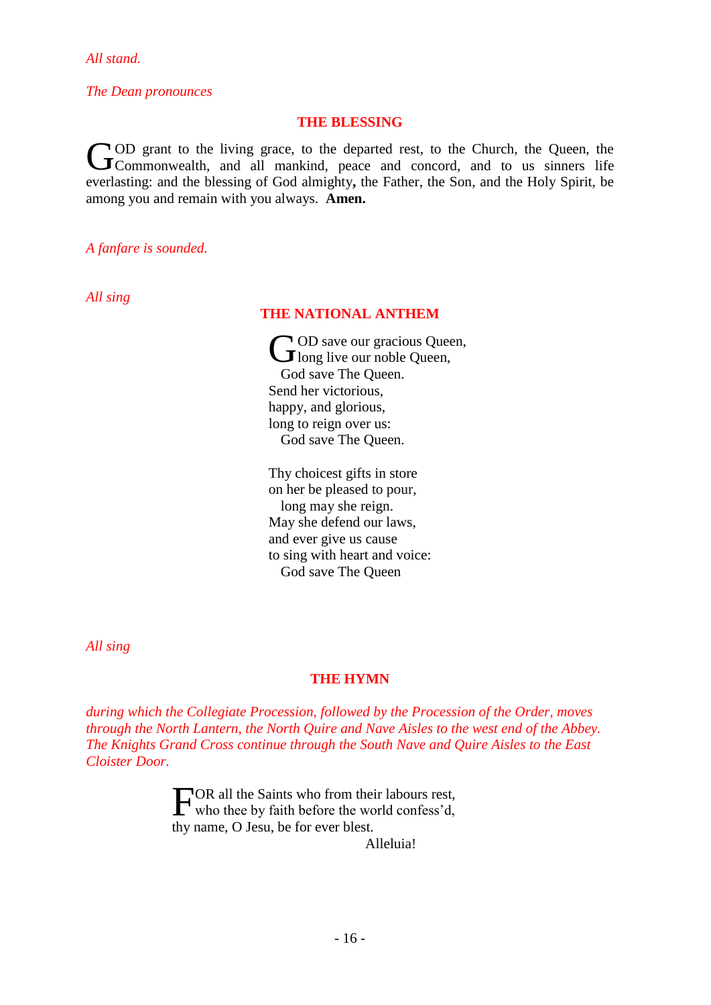*All stand.*

*The Dean pronounces*

#### **THE BLESSING**

OD grant to the living grace, to the departed rest, to the Church, the Queen, the COD grant to the living grace, to the departed rest, to the Church, the Queen, the Commonwealth, and all mankind, peace and concord, and to us sinners life everlasting: and the blessing of God almighty**,** the Father, the Son, and the Holy Spirit, be among you and remain with you always. **Amen.**

*A fanfare is sounded.*

*All sing*

#### **THE NATIONAL ANTHEM**

OD save our gracious Queen, **C**OD save our gracious Que<br>long live our noble Queen, God save The Queen. Send her victorious, happy, and glorious, long to reign over us: God save The Queen.

Thy choicest gifts in store on her be pleased to pour, long may she reign. May she defend our laws, and ever give us cause to sing with heart and voice: God save The Queen

*All sing*

#### **THE HYMN**

*during which the Collegiate Procession, followed by the Procession of the Order, moves through the North Lantern, the North Quire and Nave Aisles to the west end of the Abbey. The Knights Grand Cross continue through the South Nave and Quire Aisles to the East Cloister Door.*

> FOR all the Saints who from their labours rest,<br>who thee by faith before the world confess'd, who thee by faith before the world confess'd, thy name, O Jesu, be for ever blest.

> > Alleluia!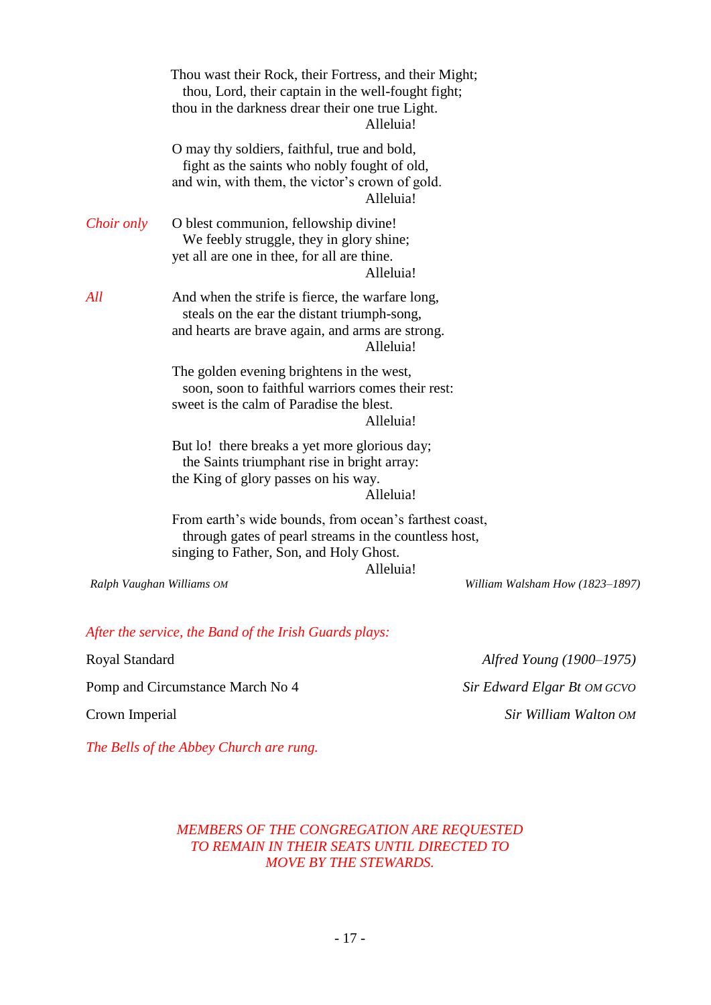|                           | Thou wast their Rock, their Fortress, and their Might;<br>thou, Lord, their captain in the well-fought fight;<br>thou in the darkness drear their one true Light.<br>Alleluia! |                                 |
|---------------------------|--------------------------------------------------------------------------------------------------------------------------------------------------------------------------------|---------------------------------|
|                           | O may thy soldiers, faithful, true and bold,<br>fight as the saints who nobly fought of old,<br>and win, with them, the victor's crown of gold.<br>Alleluia!                   |                                 |
| Choir only                | O blest communion, fellowship divine!<br>We feebly struggle, they in glory shine;<br>yet all are one in thee, for all are thine.<br>Alleluia!                                  |                                 |
| All                       | And when the strife is fierce, the warfare long,<br>steals on the ear the distant triumph-song,<br>and hearts are brave again, and arms are strong.<br>Alleluia!               |                                 |
|                           | The golden evening brightens in the west,<br>soon, soon to faithful warriors comes their rest:<br>sweet is the calm of Paradise the blest.<br>Alleluia!                        |                                 |
|                           | But lo! there breaks a yet more glorious day;<br>the Saints triumphant rise in bright array:<br>the King of glory passes on his way.<br>Alleluia!                              |                                 |
|                           | From earth's wide bounds, from ocean's farthest coast,<br>through gates of pearl streams in the countless host,<br>singing to Father, Son, and Holy Ghost.<br>Alleluia!        |                                 |
| Ralph Vaughan Williams OM |                                                                                                                                                                                | William Walsham How (1823-1897) |

# *After the service, the Band of the Irish Guards plays:*

Royal Standard *Alfred Young (1900–1975)*

Crown Imperial *Sir William Walton OM*

Pomp and Circumstance March No 4 *Sir Edward Elgar Bt OM GCVO* 

*The Bells of the Abbey Church are rung.*

## *MEMBERS OF THE CONGREGATION ARE REQUESTED TO REMAIN IN THEIR SEATS UNTIL DIRECTED TO MOVE BY THE STEWARDS.*